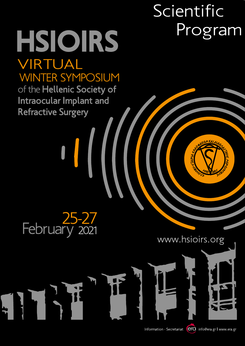# Scientific Program

# VIRTUAL HSIOIRS

WINTER SYMPOSIUM<br>of the Hellenic Society of Intraocular Implant and **Refractive Surgery** 



 $\begin{bmatrix} 1 \\ 1 \end{bmatrix}$ 

www.hsioirs.org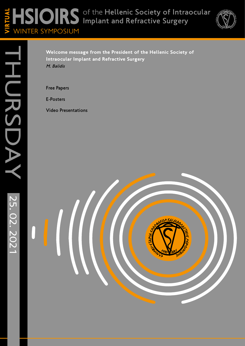#### of the Hellenic Society of Intraocular Implant and Refractive Surgery WINTER SYMPOSIUM HSIOIRS VIRTUAL



THURSDAY 25.02.2021 HURSDAY 25.02.2021

**Welcome message from the President of the Hellenic Society of Intraocular Implant and Refractive Surgery** M. Balidis

Free Papers

E-Posters

Video Presentations

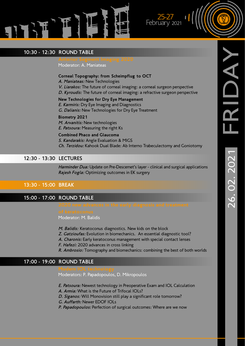

### 10:30 - 12:30 ROUND TABLE

Moderator: A. Maniateas

#### **Corneal Topography: from Scheimpflug to OCT**

A. Maniateas: New Technologies

V. Liarakos: The future of corneal imaging: a corneal surgeon perspective

D. Kyroudis: The future of corneal imaging: a refractive surgeon perspective

 $-125-27$ February 2021

**New Technologies for Dry Eye Management E. Karmiris:** Dry Eye Imaging and Diagnostics

G. Dalianis: New Technologies for Dry Eye Treatment

#### **Biometry 2021**

M. Arvanitis: New technologies E. Patsoura: Measuring the right Ks

#### **Combined Phaco and Glaucoma**

S. Kandarakis: Angle Evaluation & MIGS Ch. Terzidou: Kahook Dual Blade: Ab Interno Trabeculectomy and Goniotomy

#### 12:30 - 13:30 LECTURES

Harminder Dua: Update on Pre-Descemet's layer - clinical and surgical applications Rajesh Fogla: Optimizing outcomes in EK surgery

#### 13:30 - 15:00 BREAK

#### 15:00 - 17:00 ROUND TABLE

Moderator: M. Balidis

- M. Balidis: Keratoconus diagnostics. New kids on the block
- Z. Gatzioufas: Evolution in biomechanics. An essential diagnostic tool?
- A. Charonis: Early keratoconus management with special contact lenses
- F. Hafezi: 2020 advances in cross linking
- R. Ambrosio: Tomography and biomechanics: combining the best of both worlds

#### 17:00 - 19:00 ROUND TABLE

Moderators: P. Papadopoulos, D. Mikropoulos

- E. Patsoura: Newest technology in Preoperative Exam and IOL Calculation
- A. Armia: What is the Future of Trifocal IOLs?
- D. Siganos: Will Monovision still play a significant role tomorrow?
- G. Auffarth: Newer EDOF IOLs
- P. Papadopoulos: Perfection of surgical outcomes: Where are we now